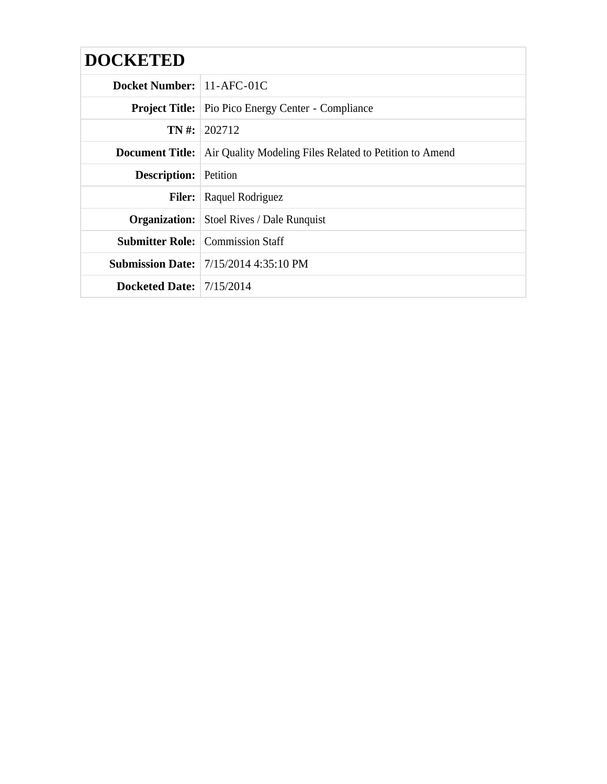| <b>DOCKETED</b>                  |                                                                                |
|----------------------------------|--------------------------------------------------------------------------------|
| <b>Docket Number:</b> 11-AFC-01C |                                                                                |
|                                  | <b>Project Title:</b> Pio Pico Energy Center - Compliance                      |
|                                  | <b>TN</b> #: 202712                                                            |
|                                  | <b>Document Title:</b> Air Quality Modeling Files Related to Petition to Amend |
| <b>Description:</b> Petition     |                                                                                |
|                                  | <b>Filer:</b> Raquel Rodriguez                                                 |
|                                  | <b>Organization:</b> Stoel Rives / Dale Runquist                               |
|                                  | <b>Submitter Role:</b> Commission Staff                                        |
|                                  | <b>Submission Date:</b> 7/15/2014 4:35:10 PM                                   |
| Docketed Date: $7/15/2014$       |                                                                                |